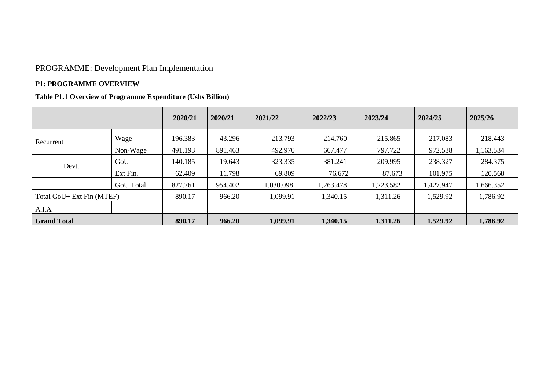# PROGRAMME: Development Plan Implementation

#### **P1: PROGRAMME OVERVIEW**

## **Table P1.1 Overview of Programme Expenditure (Ushs Billion)**

|                           |                  | 2020/21 | 2020/21 | 2021/22   | 2022/23   | 2023/24   | 2024/25   | 2025/26   |
|---------------------------|------------------|---------|---------|-----------|-----------|-----------|-----------|-----------|
| Recurrent                 | Wage             | 196.383 | 43.296  | 213.793   | 214.760   | 215.865   | 217.083   | 218.443   |
|                           | Non-Wage         | 491.193 | 891.463 | 492.970   | 667.477   | 797.722   | 972.538   | 1,163.534 |
| Devt.                     | GoU              | 140.185 | 19.643  | 323.335   | 381.241   | 209.995   | 238.327   | 284.375   |
|                           | Ext Fin.         | 62.409  | 11.798  | 69.809    | 76.672    | 87.673    | 101.975   | 120.568   |
|                           | <b>GoU</b> Total | 827.761 | 954.402 | 1,030.098 | 1,263.478 | 1,223.582 | 1,427.947 | 1,666.352 |
| Total GoU+ Ext Fin (MTEF) |                  | 890.17  | 966.20  | 1,099.91  | 1,340.15  | 1,311.26  | 1,529.92  | 1,786.92  |
| A.I.A                     |                  |         |         |           |           |           |           |           |
| <b>Grand Total</b>        |                  | 890.17  | 966.20  | 1,099.91  | 1,340.15  | 1,311.26  | 1,529.92  | 1,786.92  |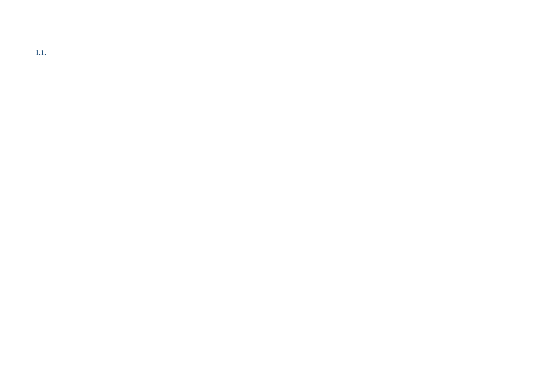**1.1.**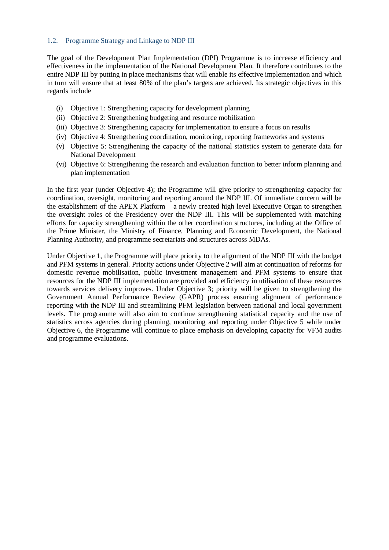#### 1.2. Programme Strategy and Linkage to NDP III

The goal of the Development Plan Implementation (DPI) Programme is to increase efficiency and effectiveness in the implementation of the National Development Plan. It therefore contributes to the entire NDP III by putting in place mechanisms that will enable its effective implementation and which in turn will ensure that at least 80% of the plan's targets are achieved. Its strategic objectives in this regards include

- (i) Objective 1: Strengthening capacity for development planning
- (ii) Objective 2: Strengthening budgeting and resource mobilization
- (iii) Objective 3: Strengthening capacity for implementation to ensure a focus on results
- (iv) Objective 4: Strengthening coordination, monitoring, reporting frameworks and systems
- (v) Objective 5: Strengthening the capacity of the national statistics system to generate data for National Development
- (vi) Objective 6: Strengthening the research and evaluation function to better inform planning and plan implementation

In the first year (under Objective 4); the Programme will give priority to strengthening capacity for coordination, oversight, monitoring and reporting around the NDP III. Of immediate concern will be the establishment of the APEX Platform – a newly created high level Executive Organ to strengthen the oversight roles of the Presidency over the NDP III. This will be supplemented with matching efforts for capacity strengthening within the other coordination structures, including at the Office of the Prime Minister, the Ministry of Finance, Planning and Economic Development, the National Planning Authority, and programme secretariats and structures across MDAs.

Under Objective 1, the Programme will place priority to the alignment of the NDP III with the budget and PFM systems in general. Priority actions under Objective 2 will aim at continuation of reforms for domestic revenue mobilisation, public investment management and PFM systems to ensure that resources for the NDP III implementation are provided and efficiency in utilisation of these resources towards services delivery improves. Under Objective 3; priority will be given to strengthening the Government Annual Performance Review (GAPR) process ensuring alignment of performance reporting with the NDP III and streamlining PFM legislation between national and local government levels. The programme will also aim to continue strengthening statistical capacity and the use of statistics across agencies during planning, monitoring and reporting under Objective 5 while under Objective 6, the Programme will continue to place emphasis on developing capacity for VFM audits and programme evaluations.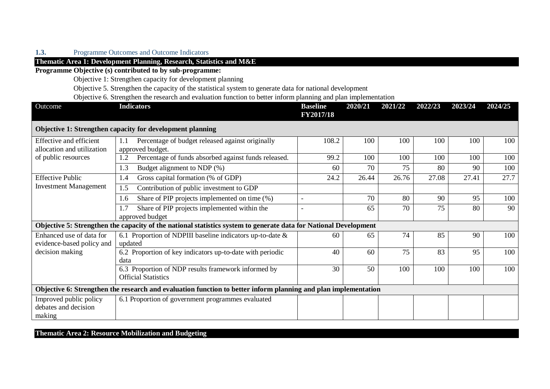## **1.3.** Programme Outcomes and Outcome Indicators

## **Thematic Area 1: Development Planning, Research, Statistics and M&E**

**Programme Objective (s) contributed to by sub-programme:**

Objective 1: Strengthen capacity for development planning

Objective 5. Strengthen the capacity of the statistical system to generate data for national development

Objective 6. Strengthen the research and evaluation function to better inform planning and plan implementation

| Outcome                                                  | <b>Indicators</b>                                                                                                | <b>Baseline</b><br><b>FY2017/18</b> | 2020/21 | 2021/22 | 2022/23 | 2023/24 | 2024/25 |
|----------------------------------------------------------|------------------------------------------------------------------------------------------------------------------|-------------------------------------|---------|---------|---------|---------|---------|
|                                                          | Objective 1: Strengthen capacity for development planning                                                        |                                     |         |         |         |         |         |
| Effective and efficient<br>allocation and utilization    | Percentage of budget released against originally<br>1.1<br>approved budget.                                      | 108.2                               | 100     | 100     | 100     | 100     | 100     |
| of public resources                                      | Percentage of funds absorbed against funds released.<br>1.2                                                      | 99.2                                | 100     | 100     | 100     | 100     | 100     |
|                                                          | 1.3<br>Budget alignment to NDP (%)                                                                               | 60                                  | 70      | 75      | 80      | 90      | 100     |
| <b>Effective Public</b>                                  | Gross capital formation (% of GDP)<br>1.4                                                                        | 24.2                                | 26.44   | 26.76   | 27.08   | 27.41   | 27.7    |
| <b>Investment Management</b>                             | Contribution of public investment to GDP<br>1.5                                                                  |                                     |         |         |         |         |         |
|                                                          | Share of PIP projects implemented on time (%)<br>1.6                                                             |                                     | 70      | 80      | 90      | 95      | 100     |
|                                                          | Share of PIP projects implemented within the<br>1.7<br>approved budget                                           |                                     | 65      | 70      | 75      | 80      | 90      |
|                                                          | Objective 5: Strengthen the capacity of the national statistics system to generate data for National Development |                                     |         |         |         |         |         |
| Enhanced use of data for<br>evidence-based policy and    | 6.1 Proportion of NDPIII baseline indicators up-to-date $\&$<br>updated                                          | 60                                  | 65      | 74      | 85      | 90      | 100     |
| decision making                                          | 6.2 Proportion of key indicators up-to-date with periodic<br>data                                                | 40                                  | 60      | 75      | 83      | 95      | 100     |
|                                                          | 6.3 Proportion of NDP results framework informed by<br><b>Official Statistics</b>                                | 30                                  | 50      | 100     | 100     | 100     | 100     |
|                                                          | Objective 6: Strengthen the research and evaluation function to better inform planning and plan implementation   |                                     |         |         |         |         |         |
| Improved public policy<br>debates and decision<br>making | 6.1 Proportion of government programmes evaluated                                                                |                                     |         |         |         |         |         |

**Thematic Area 2: Resource Mobilization and Budgeting**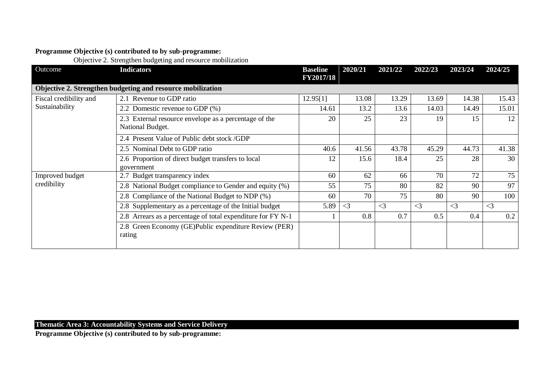## **Programme Objective (s) contributed to by sub-programme:**

Objective 2. Strengthen budgeting and resource mobilization

| Outcome                | <b>Indicators</b>                                                         | <b>Baseline</b><br><b>FY2017/18</b> | 2020/21     | 2021/22  | 2022/23  | 2023/24  | 2024/25  |
|------------------------|---------------------------------------------------------------------------|-------------------------------------|-------------|----------|----------|----------|----------|
|                        | Objective 2. Strengthen budgeting and resource mobilization               |                                     |             |          |          |          |          |
| Fiscal credibility and | 2.1 Revenue to GDP ratio                                                  | 12.95[1]                            | 13.08       | 13.29    | 13.69    | 14.38    | 15.43    |
| Sustainability         | 2.2 Domestic revenue to GDP (%)                                           | 14.61                               | 13.2        | 13.6     | 14.03    | 14.49    | 15.01    |
|                        | 2.3 External resource envelope as a percentage of the<br>National Budget. | 20                                  | 25          | 23       | 19       | 15       | 12       |
|                        | 2.4 Present Value of Public debt stock /GDP                               |                                     |             |          |          |          |          |
|                        | 2.5 Nominal Debt to GDP ratio                                             | 40.6                                | 41.56       | 43.78    | 45.29    | 44.73    | 41.38    |
|                        | 2.6 Proportion of direct budget transfers to local<br>government          | 12                                  | 15.6        | 18.4     | 25       | 28       | 30       |
| Improved budget        | 2.7 Budget transparency index                                             | 60                                  | 62          | 66       | 70       | 72       | 75       |
| credibility            | 2.8 National Budget compliance to Gender and equity (%)                   | 55                                  | 75          | 80       | 82       | 90       | 97       |
|                        | 2.8 Compliance of the National Budget to NDP (%)                          | 60                                  | 70          | 75       | 80       | 90       | 100      |
|                        | 2.8 Supplementary as a percentage of the Initial budget                   | 5.89                                | $\langle 3$ | $\leq$ 3 | $\leq$ 3 | $\leq$ 3 | $\leq$ 3 |
|                        | 2.8 Arrears as a percentage of total expenditure for FY N-1               |                                     | 0.8         | 0.7      | 0.5      | 0.4      | 0.2      |
|                        | 2.8 Green Economy (GE)Public expenditure Review (PER)<br>rating           |                                     |             |          |          |          |          |

## **Thematic Area 3: Accountability Systems and Service Delivery**

**Programme Objective (s) contributed to by sub-programme:**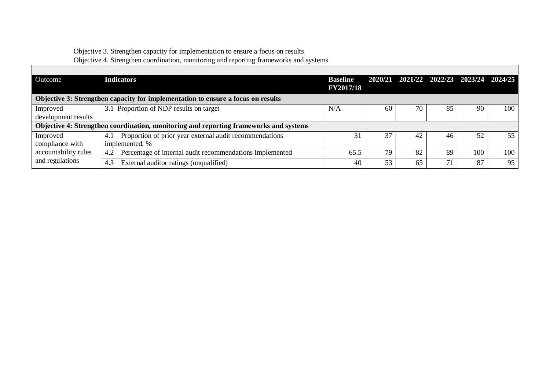# Objective 3. Strengthen capacity for implementation to ensure a focus on results

|                                 | Objective 4. Strengthen coordination, monitoring and reporting frameworks and systems |                                     |         |    |    |                                 |     |
|---------------------------------|---------------------------------------------------------------------------------------|-------------------------------------|---------|----|----|---------------------------------|-----|
| Outcome                         | <b>Indicators</b>                                                                     | <b>Baseline</b><br><b>FY2017/18</b> | 2020/21 |    |    | 2021/22 2022/23 2023/24 2024/25 |     |
|                                 | Objective 3: Strengthen capacity for implementation to ensure a focus on results      |                                     |         |    |    |                                 |     |
| Improved<br>development results | 3.1 Proportion of NDP results on target                                               | N/A                                 | 60      | 70 | 85 | 90                              | 100 |
|                                 | Objective 4: Strengthen coordination, monitoring and reporting frameworks and systems |                                     |         |    |    |                                 |     |
| Improved<br>compliance with     | Proportion of prior year external audit recommendations<br>4.1<br>implemented, %      | 31                                  | 37      | 42 | 46 | 52                              | 55  |
| accountability rules            | Percentage of internal audit recommendations implemented<br>4.2                       | 65.5                                | 79      | 82 | 89 | 100                             | 100 |
| and regulations                 | External auditor ratings (unqualified)<br>4.3                                         | 40                                  | 53      | 65 | 71 | 87                              | 95  |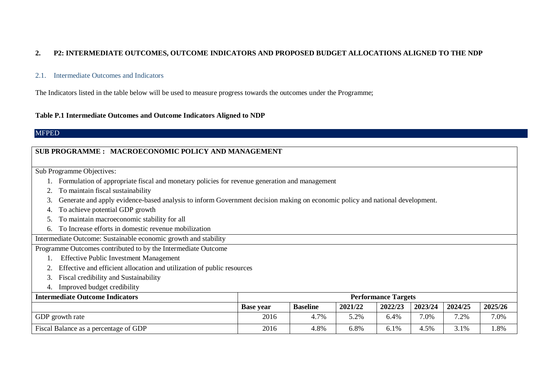#### **2. P2: INTERMEDIATE OUTCOMES, OUTCOME INDICATORS AND PROPOSED BUDGET ALLOCATIONS ALIGNED TO THE NDP**

#### 2.1. Intermediate Outcomes and Indicators

The Indicators listed in the table below will be used to measure progress towards the outcomes under the Programme;

#### **Table P.1 Intermediate Outcomes and Outcome Indicators Aligned to NDP**

#### **MFPED**

#### **SUB PROGRAMME : MACROECONOMIC POLICY AND MANAGEMENT**

Sub Programme Objectives:

- 1. Formulation of appropriate fiscal and monetary policies for revenue generation and management
- 2. To maintain fiscal sustainability
- 3. Generate and apply evidence-based analysis to inform Government decision making on economic policy and national development.
- 4. To achieve potential GDP growth
- 5. To maintain macroeconomic stability for all
- 6. To Increase efforts in domestic revenue mobilization

Intermediate Outcome: Sustainable economic growth and stability

Programme Outcomes contributed to by the Intermediate Outcome

- 1. Effective Public Investment Management
- 2. Effective and efficient allocation and utilization of public resources
- 3. Fiscal credibility and Sustainability
- 4. Improved budget credibility

| <b>Intermediate Outcome Indicators</b> | <b>Performance Targets</b> |                 |         |         |         |         |         |
|----------------------------------------|----------------------------|-----------------|---------|---------|---------|---------|---------|
|                                        | <b>Base vear</b>           | <b>Baseline</b> | 2021/22 | 2022/23 | 2023/24 | 2024/25 | 2025/26 |
| GDP growth rate                        | 2016                       | 4.7%            | 5.2%    | 6.4%    | 7.0%    | 7.2%    | 7.0%    |
| Fiscal Balance as a percentage of GDP  | 2016                       | 4.8%            | 6.8%    | 6.1%    | 4.5%    | 3.1%    | 1.8%    |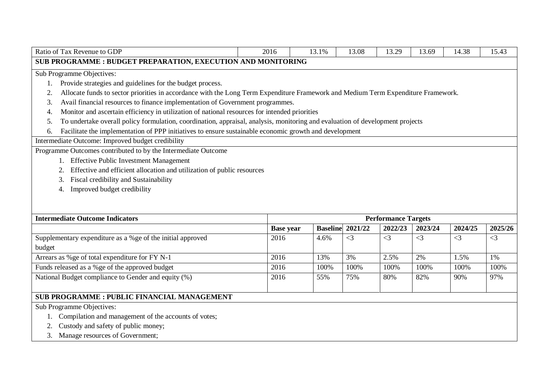| Ratio of Tax Revenue to GDP                                                                                                             | 2016             | 13.1%                      | 13.08    | 13.29    | 13.69    | 14.38    | 15.43    |  |  |
|-----------------------------------------------------------------------------------------------------------------------------------------|------------------|----------------------------|----------|----------|----------|----------|----------|--|--|
| SUB PROGRAMME : BUDGET PREPARATION, EXECUTION AND MONITORING                                                                            |                  |                            |          |          |          |          |          |  |  |
| Sub Programme Objectives:                                                                                                               |                  |                            |          |          |          |          |          |  |  |
| Provide strategies and guidelines for the budget process.<br>1.                                                                         |                  |                            |          |          |          |          |          |  |  |
| Allocate funds to sector priorities in accordance with the Long Term Expenditure Framework and Medium Term Expenditure Framework.<br>2. |                  |                            |          |          |          |          |          |  |  |
| Avail financial resources to finance implementation of Government programmes.<br>3.                                                     |                  |                            |          |          |          |          |          |  |  |
| Monitor and ascertain efficiency in utilization of national resources for intended priorities<br>4.                                     |                  |                            |          |          |          |          |          |  |  |
| To undertake overall policy formulation, coordination, appraisal, analysis, monitoring and evaluation of development projects<br>5.     |                  |                            |          |          |          |          |          |  |  |
| Facilitate the implementation of PPP initiatives to ensure sustainable economic growth and development<br>6.                            |                  |                            |          |          |          |          |          |  |  |
| Intermediate Outcome: Improved budget credibility                                                                                       |                  |                            |          |          |          |          |          |  |  |
| Programme Outcomes contributed to by the Intermediate Outcome                                                                           |                  |                            |          |          |          |          |          |  |  |
| 1. Effective Public Investment Management                                                                                               |                  |                            |          |          |          |          |          |  |  |
| Effective and efficient allocation and utilization of public resources<br>2.                                                            |                  |                            |          |          |          |          |          |  |  |
| Fiscal credibility and Sustainability<br>3.                                                                                             |                  |                            |          |          |          |          |          |  |  |
| Improved budget credibility<br>4.                                                                                                       |                  |                            |          |          |          |          |          |  |  |
|                                                                                                                                         |                  |                            |          |          |          |          |          |  |  |
|                                                                                                                                         |                  |                            |          |          |          |          |          |  |  |
| <b>Intermediate Outcome Indicators</b>                                                                                                  |                  | <b>Performance Targets</b> |          |          |          |          |          |  |  |
|                                                                                                                                         |                  |                            |          |          |          |          |          |  |  |
|                                                                                                                                         | <b>Base year</b> | <b>Baseline</b> 2021/22    |          | 2022/23  | 2023/24  | 2024/25  | 2025/26  |  |  |
| Supplementary expenditure as a %ge of the initial approved                                                                              | 2016             | 4.6%                       | $\leq$ 3 | $\leq$ 3 | $\leq$ 3 | $\leq$ 3 | $\leq$ 3 |  |  |
| budget                                                                                                                                  |                  |                            |          |          |          |          |          |  |  |
| Arrears as %ge of total expenditure for FY N-1                                                                                          | 2016             | 13%                        | 3%       | 2.5%     | 2%       | 1.5%     | 1%       |  |  |
| Funds released as a %ge of the approved budget                                                                                          | 2016             | 100%                       | 100%     | 100%     | 100%     | 100%     | 100%     |  |  |
| National Budget compliance to Gender and equity (%)                                                                                     | 2016             | 55%                        | 75%      | 80%      | 82%      | 90%      | 97%      |  |  |
|                                                                                                                                         |                  |                            |          |          |          |          |          |  |  |
| <b>SUB PROGRAMME : PUBLIC FINANCIAL MANAGEMENT</b>                                                                                      |                  |                            |          |          |          |          |          |  |  |
| Sub Programme Objectives:                                                                                                               |                  |                            |          |          |          |          |          |  |  |
| Compilation and management of the accounts of votes;                                                                                    |                  |                            |          |          |          |          |          |  |  |
| Custody and safety of public money;<br>Manage resources of Government;                                                                  |                  |                            |          |          |          |          |          |  |  |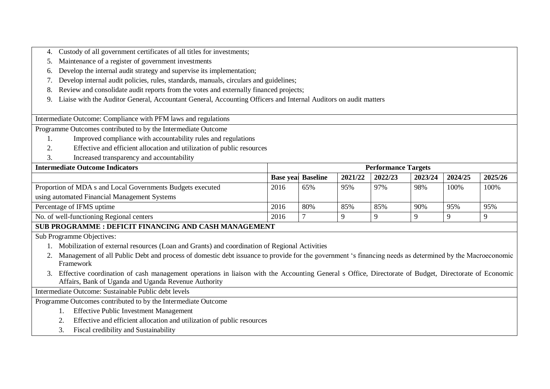- 4. Custody of all government certificates of all titles for investments;
- 5. Maintenance of a register of government investments
- 6. Develop the internal audit strategy and supervise its implementation;
- 7. Develop internal audit policies, rules, standards, manuals, circulars and guidelines;
- 8. Review and consolidate audit reports from the votes and externally financed projects;
- 9. Liaise with the Auditor General, Accountant General, Accounting Officers and Internal Auditors on audit matters

Intermediate Outcome: Compliance with PFM laws and regulations

Programme Outcomes contributed to by the Intermediate Outcome

- 1. Improved compliance with accountability rules and regulations
- 2. Effective and efficient allocation and utilization of public resources
- 3. Increased transparency and accountability

| <b>Intermediate Outcome Indicators</b>                     | <b>Performance Targets</b> |                           |         |         |         |         |         |  |  |  |
|------------------------------------------------------------|----------------------------|---------------------------|---------|---------|---------|---------|---------|--|--|--|
|                                                            |                            | <b>Base year Baseline</b> | 2021/22 | 2022/23 | 2023/24 | 2024/25 | 2025/26 |  |  |  |
| Proportion of MDA s and Local Governments Budgets executed | 2016                       | 65%                       | 95%     | 97%     | 98%     | 100%    | 100%    |  |  |  |
| using automated Financial Management Systems               |                            |                           |         |         |         |         |         |  |  |  |
| Percentage of IFMS uptime                                  | 2016                       | 80%                       | 85%     | 85%     | 90%     | 95%     | 95%     |  |  |  |
| No. of well-functioning Regional centers                   | 2016                       |                           |         |         |         |         |         |  |  |  |
| SUB PROGRAMME : DEFICIT FINANCING AND CASH MANAGEMENT      |                            |                           |         |         |         |         |         |  |  |  |

Sub Programme Objectives:

- 1. Mobilization of external resources (Loan and Grants) and coordination of Regional Activities
- 2. Management of all Public Debt and process of domestic debt issuance to provide for the government 's financing needs as determined by the Macroeconomic Framework
- 3. Effective coordination of cash management operations in liaison with the Accounting General s Office, Directorate of Budget, Directorate of Economic Affairs, Bank of Uganda and Uganda Revenue Authority

Intermediate Outcome: Sustainable Public debt levels

Programme Outcomes contributed to by the Intermediate Outcome

- 1. Effective Public Investment Management
- 2. Effective and efficient allocation and utilization of public resources
- 3. Fiscal credibility and Sustainability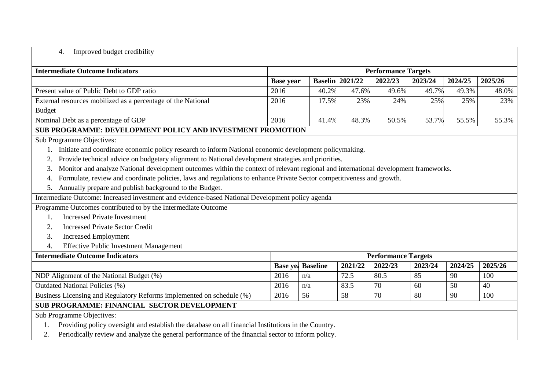## 4. Improved budget credibility

| <b>Intermediate Outcome Indicators</b>                                                                                                    |                  |                 |                        | <b>Performance Targets</b> |         |         |         |  |  |
|-------------------------------------------------------------------------------------------------------------------------------------------|------------------|-----------------|------------------------|----------------------------|---------|---------|---------|--|--|
|                                                                                                                                           | <b>Base year</b> |                 | <b>Baselin</b> 2021/22 | 2022/23                    | 2023/24 | 2024/25 | 2025/26 |  |  |
| Present value of Public Debt to GDP ratio                                                                                                 | 2016             | 40.2%           | 47.6%                  | 49.6%                      | 49.7%   | 49.3%   | 48.0%   |  |  |
| External resources mobilized as a percentage of the National                                                                              | 2016             | 17.5%           | 23%                    | 24%                        | 25%     | 25%     | 23%     |  |  |
| <b>Budget</b>                                                                                                                             |                  |                 |                        |                            |         |         |         |  |  |
| Nominal Debt as a percentage of GDP                                                                                                       | 2016             | 41.4%           | 48.3%                  | 50.5%                      | 53.7%   | 55.5%   | 55.3%   |  |  |
| SUB PROGRAMME: DEVELOPMENT POLICY AND INVESTMENT PROMOTION                                                                                |                  |                 |                        |                            |         |         |         |  |  |
| Sub Programme Objectives:                                                                                                                 |                  |                 |                        |                            |         |         |         |  |  |
| Initiate and coordinate economic policy research to inform National economic development policymaking.                                    |                  |                 |                        |                            |         |         |         |  |  |
| Provide technical advice on budgetary alignment to National development strategies and priorities.<br>2.                                  |                  |                 |                        |                            |         |         |         |  |  |
| Monitor and analyze National development outcomes within the context of relevant regional and international development frameworks.<br>3. |                  |                 |                        |                            |         |         |         |  |  |
| Formulate, review and coordinate policies, laws and regulations to enhance Private Sector competitiveness and growth.<br>4.               |                  |                 |                        |                            |         |         |         |  |  |
| Annually prepare and publish background to the Budget.<br>5.                                                                              |                  |                 |                        |                            |         |         |         |  |  |
| Intermediate Outcome: Increased investment and evidence-based National Development policy agenda                                          |                  |                 |                        |                            |         |         |         |  |  |
| Programme Outcomes contributed to by the Intermediate Outcome                                                                             |                  |                 |                        |                            |         |         |         |  |  |
| <b>Increased Private Investment</b><br>1.                                                                                                 |                  |                 |                        |                            |         |         |         |  |  |
| <b>Increased Private Sector Credit</b><br>2.                                                                                              |                  |                 |                        |                            |         |         |         |  |  |
| <b>Increased Employment</b><br>3.                                                                                                         |                  |                 |                        |                            |         |         |         |  |  |
| <b>Effective Public Investment Management</b><br>4.                                                                                       |                  |                 |                        |                            |         |         |         |  |  |
| <b>Intermediate Outcome Indicators</b>                                                                                                    |                  |                 |                        | <b>Performance Targets</b> |         |         |         |  |  |
|                                                                                                                                           | <b>Base yes</b>  | <b>Baseline</b> | 2021/22                | 2022/23                    | 2023/24 | 2024/25 | 2025/26 |  |  |
| NDP Alignment of the National Budget (%)                                                                                                  | 2016             | n/a             | 72.5                   | 80.5                       | 85      | 90      | 100     |  |  |
| <b>Outdated National Policies (%)</b>                                                                                                     | 2016             | n/a             | 83.5                   | 70                         | 60      | 50      | 40      |  |  |
| Business Licensing and Regulatory Reforms implemented on schedule (%)                                                                     | 2016             | 56              | 58                     | 70                         | 80      | 90      | 100     |  |  |
| <b>SUB PROGRAMME: FINANCIAL SECTOR DEVELOPMENT</b>                                                                                        |                  |                 |                        |                            |         |         |         |  |  |
| Sub Programme Objectives:                                                                                                                 |                  |                 |                        |                            |         |         |         |  |  |
| Providing policy oversight and establish the database on all financial Institutions in the Country.<br>1.                                 |                  |                 |                        |                            |         |         |         |  |  |
| Periodically review and analyze the general performance of the financial sector to inform policy.<br>2.                                   |                  |                 |                        |                            |         |         |         |  |  |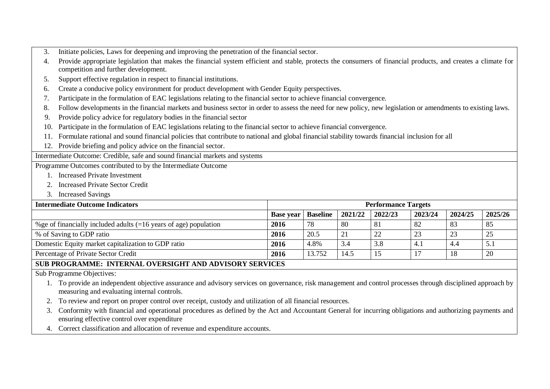- 3. Initiate policies, Laws for deepening and improving the penetration of the financial sector.
- 4. Provide appropriate legislation that makes the financial system efficient and stable, protects the consumers of financial products, and creates a climate for competition and further development.
- 5. Support effective regulation in respect to financial institutions.
- 6. Create a conducive policy environment for product development with Gender Equity perspectives.
- 7. Participate in the formulation of EAC legislations relating to the financial sector to achieve financial convergence.
- 8. Follow developments in the financial markets and business sector in order to assess the need for new policy, new legislation or amendments to existing laws.
- 9. Provide policy advice for regulatory bodies in the financial sector
- 10. Participate in the formulation of EAC legislations relating to the financial sector to achieve financial convergence.
- 11. Formulate rational and sound financial policies that contribute to national and global financial stability towards financial inclusion for all
- 12. Provide briefing and policy advice on the financial sector.

Intermediate Outcome: Credible, safe and sound financial markets and systems

Programme Outcomes contributed to by the Intermediate Outcome

- 1. Increased Private Investment
- 2. Increased Private Sector Credit
- 3. Increased Savings

| <b>Intermediate Outcome Indicators</b>                                          | <b>Performance Targets</b> |                 |         |         |         |         |           |  |  |  |
|---------------------------------------------------------------------------------|----------------------------|-----------------|---------|---------|---------|---------|-----------|--|--|--|
|                                                                                 | <b>Base year</b>           | <b>Baseline</b> | 2021/22 | 2022/23 | 2023/24 | 2024/25 | 2025/26   |  |  |  |
| $\frac{1}{2}$ % ge of financially included adults (=16 years of age) population | 2016                       | 78              | 80      | -81     | 82      | -83     | -85       |  |  |  |
| \, % of Saving to GDP ratio                                                     | 2016                       | 20.5            | 21      | 22      | 23      | 23      | ົາ -      |  |  |  |
| Domestic Equity market capitalization to GDP ratio                              | 2016                       | 4.8%            | 3.4     | 3.8     |         | 4.4     | 5.1       |  |  |  |
| Percentage of Private Sector Credit                                             | 2016                       | 13.752          | 14.5    |         |         | 18      | <b>20</b> |  |  |  |
| SUB PROGRAMME: INTERNAL OVERSIGHT AND ADVISORY SERVICES                         |                            |                 |         |         |         |         |           |  |  |  |

Sub Programme Objectives:

- 1. To provide an independent objective assurance and advisory services on governance, risk management and control processes through disciplined approach by measuring and evaluating internal controls.
- 2. To review and report on proper control over receipt, custody and utilization of all financial resources.
- 3. Conformity with financial and operational procedures as defined by the Act and Accountant General for incurring obligations and authorizing payments and ensuring effective control over expenditure
- 4. Correct classification and allocation of revenue and expenditure accounts.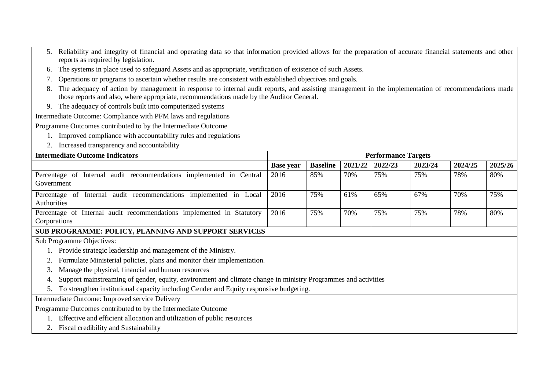| 5. Reliability and integrity of financial and operating data so that information provided allows for the preparation of accurate financial statements and other |
|-----------------------------------------------------------------------------------------------------------------------------------------------------------------|
| reports as required by legislation.                                                                                                                             |

- 6. The systems in place used to safeguard Assets and as appropriate, verification of existence of such Assets.
- 7. Operations or programs to ascertain whether results are consistent with established objectives and goals.
- 8. The adequacy of action by management in response to internal audit reports, and assisting management in the implementation of recommendations made those reports and also, where appropriate, recommendations made by the Auditor General.
- 9. The adequacy of controls built into computerized systems

Intermediate Outcome: Compliance with PFM laws and regulations

Programme Outcomes contributed to by the Intermediate Outcome

- 1. Improved compliance with accountability rules and regulations
- 2. Increased transparency and accountability

| <b>Intermediate Outcome Indicators</b>                                                | <b>Performance Targets</b> |                 |         |         |         |         |         |  |
|---------------------------------------------------------------------------------------|----------------------------|-----------------|---------|---------|---------|---------|---------|--|
|                                                                                       | <b>Base year</b>           | <b>Baseline</b> | 2021/22 | 2022/23 | 2023/24 | 2024/25 | 2025/26 |  |
| Percentage of Internal audit recommendations implemented in Central<br>Government     | 2016                       | 85%             | 70%     | 75%     | 75%     | 78%     | 80%     |  |
| Percentage of Internal audit recommendations implemented in Local<br>Authorities      | 2016                       | 75%             | 61%     | 65%     | 67%     | 70%     | 75%     |  |
| Percentage of Internal audit recommendations implemented in Statutory<br>Corporations | 2016                       | 75%             | 70%     | 75%     | 75%     | 78%     | 80%     |  |

#### **SUB PROGRAMME: POLICY, PLANNING AND SUPPORT SERVICES**

Sub Programme Objectives:

- 1. Provide strategic leadership and management of the Ministry.
- 2. Formulate Ministerial policies, plans and monitor their implementation.
- 3. Manage the physical, financial and human resources
- 4. Support mainstreaming of gender, equity, environment and climate change in ministry Programmes and activities
- 5. To strengthen institutional capacity including Gender and Equity responsive budgeting.

Intermediate Outcome: Improved service Delivery

Programme Outcomes contributed to by the Intermediate Outcome

- 1. Effective and efficient allocation and utilization of public resources
- 2. Fiscal credibility and Sustainability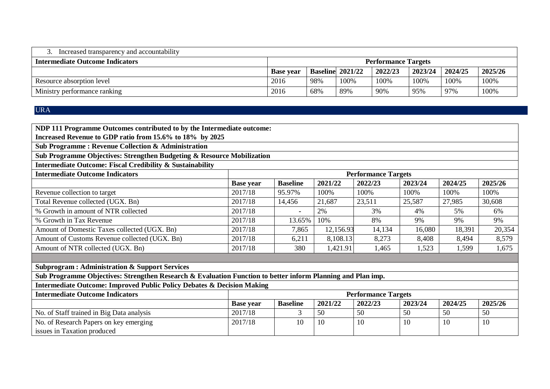| Increased transparency and accountability |                            |     |                         |         |         |         |         |  |
|-------------------------------------------|----------------------------|-----|-------------------------|---------|---------|---------|---------|--|
| <b>Intermediate Outcome Indicators</b>    | <b>Performance Targets</b> |     |                         |         |         |         |         |  |
|                                           | <b>Base vear</b>           |     | <b>Baseline</b> 2021/22 | 2022/23 | 2023/24 | 2024/25 | 2025/26 |  |
| Resource absorption level                 | 2016                       | 98% | 100%                    | 100%    | 100%    | 100%    | 100%    |  |
| Ministry performance ranking              | 2016                       | 68% | 89%                     | 90%     | 95%     | 97%     | 100%    |  |

## URA

| NDP 111 Programme Outcomes contributed to by the Intermediate outcome:                                      |                                                                       |                 |          |                            |         |         |         |  |  |  |  |
|-------------------------------------------------------------------------------------------------------------|-----------------------------------------------------------------------|-----------------|----------|----------------------------|---------|---------|---------|--|--|--|--|
| Increased Revenue to GDP ratio from 15.6% to 18% by 2025                                                    |                                                                       |                 |          |                            |         |         |         |  |  |  |  |
| <b>Sub Programme: Revenue Collection &amp; Administration</b>                                               |                                                                       |                 |          |                            |         |         |         |  |  |  |  |
| Sub Programme Objectives: Strengthen Budgeting & Resource Mobilization                                      |                                                                       |                 |          |                            |         |         |         |  |  |  |  |
| Intermediate Outcome: Fiscal Credibility & Sustainability                                                   |                                                                       |                 |          |                            |         |         |         |  |  |  |  |
| <b>Intermediate Outcome Indicators</b>                                                                      |                                                                       |                 |          | <b>Performance Targets</b> |         |         |         |  |  |  |  |
|                                                                                                             | <b>Base year</b>                                                      | <b>Baseline</b> | 2021/22  | 2022/23                    | 2023/24 | 2024/25 | 2025/26 |  |  |  |  |
| Revenue collection to target                                                                                | 2017/18                                                               | 95.97%          | 100%     | 100%                       | 100%    | 100%    | 100%    |  |  |  |  |
| Total Revenue collected (UGX. Bn)                                                                           | 2017/18                                                               | 14,456          | 21,687   | 23,511                     | 25,587  | 27,985  | 30,608  |  |  |  |  |
| % Growth in amount of NTR collected                                                                         | 2017/18                                                               |                 | 2%       | 3%                         | 4%      | 5%      | 6%      |  |  |  |  |
| % Growth in Tax Revenue                                                                                     | 2017/18<br>10%<br>8%<br>9%<br>9%<br>9%<br>13.65%                      |                 |          |                            |         |         |         |  |  |  |  |
| Amount of Domestic Taxes collected (UGX. Bn)                                                                | 2017/18<br>12,156.93<br>16,080<br>20,354<br>7,865<br>14,134<br>18,391 |                 |          |                            |         |         |         |  |  |  |  |
| Amount of Customs Revenue collected (UGX. Bn)                                                               | 2017/18                                                               | 6,211           | 8,108.13 | 8,273                      | 8,408   | 8,494   | 8,579   |  |  |  |  |
| Amount of NTR collected (UGX. Bn)                                                                           | 2017/18                                                               | 380             | 1,421.91 | 1,465                      | 1,523   | 1,599   | 1,675   |  |  |  |  |
|                                                                                                             |                                                                       |                 |          |                            |         |         |         |  |  |  |  |
| <b>Subprogram: Administration &amp; Support Services</b>                                                    |                                                                       |                 |          |                            |         |         |         |  |  |  |  |
| Sub Programme Objectives: Strengthen Research & Evaluation Function to better inform Planning and Plan imp. |                                                                       |                 |          |                            |         |         |         |  |  |  |  |
| <b>Intermediate Outcome: Improved Public Policy Debates &amp; Decision Making</b>                           |                                                                       |                 |          |                            |         |         |         |  |  |  |  |
| <b>Intermediate Outcome Indicators</b>                                                                      |                                                                       |                 |          | <b>Performance Targets</b> |         |         |         |  |  |  |  |
|                                                                                                             | <b>Base year</b>                                                      | <b>Baseline</b> | 2021/22  | 2022/23                    | 2023/24 | 2024/25 | 2025/26 |  |  |  |  |
| No. of Staff trained in Big Data analysis                                                                   | 2017/18                                                               | 3               | 50       | 50                         | 50      | 50      | 50      |  |  |  |  |
| No. of Research Papers on key emerging                                                                      | 2017/18                                                               | 10              | 10       | 10                         | 10      | 10      | 10      |  |  |  |  |
| issues in Taxation produced                                                                                 |                                                                       |                 |          |                            |         |         |         |  |  |  |  |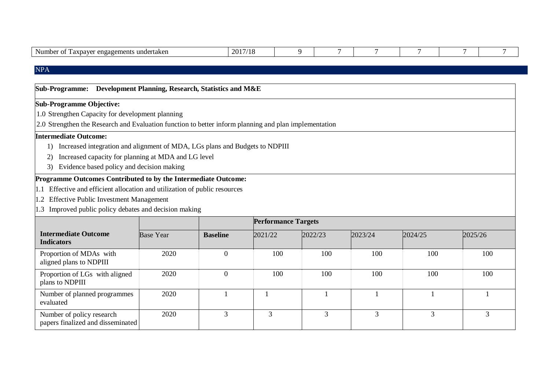| $\mathbf{r}$<br>Nu<br>ារព<br>orto<br>ements<br>≏nσa<br>lanch<br>1111.<br>. и.<br>. | nn:<br>20 L |  |  |  |  |  |  |
|------------------------------------------------------------------------------------|-------------|--|--|--|--|--|--|
|------------------------------------------------------------------------------------|-------------|--|--|--|--|--|--|

## NPA

| Sub-Programme: Development Planning, Research, Statistics and M&E                                     |                  |                  |                            |         |         |                |         |  |  |  |
|-------------------------------------------------------------------------------------------------------|------------------|------------------|----------------------------|---------|---------|----------------|---------|--|--|--|
| <b>Sub-Programme Objective:</b>                                                                       |                  |                  |                            |         |         |                |         |  |  |  |
| 1.0 Strengthen Capacity for development planning                                                      |                  |                  |                            |         |         |                |         |  |  |  |
| 2.0 Strengthen the Research and Evaluation function to better inform planning and plan implementation |                  |                  |                            |         |         |                |         |  |  |  |
| <b>Intermediate Outcome:</b>                                                                          |                  |                  |                            |         |         |                |         |  |  |  |
| Increased integration and alignment of MDA, LGs plans and Budgets to NDPIII                           |                  |                  |                            |         |         |                |         |  |  |  |
| Increased capacity for planning at MDA and LG level<br>2)                                             |                  |                  |                            |         |         |                |         |  |  |  |
| Evidence based policy and decision making<br>3)                                                       |                  |                  |                            |         |         |                |         |  |  |  |
| Programme Outcomes Contributed to by the Intermediate Outcome:                                        |                  |                  |                            |         |         |                |         |  |  |  |
| 1.1 Effective and efficient allocation and utilization of public resources                            |                  |                  |                            |         |         |                |         |  |  |  |
| 1.2 Effective Public Investment Management                                                            |                  |                  |                            |         |         |                |         |  |  |  |
| 1.3 Improved public policy debates and decision making                                                |                  |                  |                            |         |         |                |         |  |  |  |
|                                                                                                       |                  |                  | <b>Performance Targets</b> |         |         |                |         |  |  |  |
| <b>Intermediate Outcome</b><br><b>Indicators</b>                                                      | <b>Base Year</b> | <b>Baseline</b>  | 2021/22                    | 2022/23 | 2023/24 | 2024/25        | 2025/26 |  |  |  |
| Proportion of MDAs with<br>aligned plans to NDPIII                                                    | 2020             | $\mathbf{0}$     | 100                        | 100     | 100     | 100            | 100     |  |  |  |
| Proportion of LGs with aligned<br>plans to NDPIII                                                     | 2020             | $\boldsymbol{0}$ | 100                        | 100     | 100     | 100            | 100     |  |  |  |
| Number of planned programmes<br>evaluated                                                             | 2020             |                  |                            |         |         |                |         |  |  |  |
| Number of policy research<br>papers finalized and disseminated                                        | 2020             | 3                | 3                          | 3       | 3       | $\overline{3}$ | 3       |  |  |  |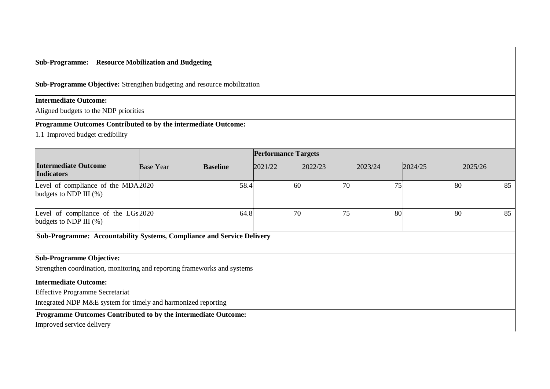#### **Sub-Programme: Resource Mobilization and Budgeting**

**Sub-Programme Objective:** Strengthen budgeting and resource mobilization

#### **Intermediate Outcome:**

Aligned budgets to the NDP priorities

## **Programme Outcomes Contributed to by the intermediate Outcome:**

1.1 Improved budget credibility

|                                                                        |                  |                 | <b>Performance Targets</b> |         |         |         |         |
|------------------------------------------------------------------------|------------------|-----------------|----------------------------|---------|---------|---------|---------|
| <b>Intermediate Outcome</b><br><b>Indicators</b>                       | <b>Base Year</b> | <b>Baseline</b> | 2021/22                    | 2022/23 | 2023/24 | 2024/25 | 2025/26 |
| Level of compliance of the MDA2020<br>budgets to NDP III $(\%)$        |                  | 58.4            | 60                         | 70      | 75      | 80      | 85      |
| Level of compliance of the LGs 2020<br>budgets to NDP III $(\%)$       |                  | 64.8            | 70                         | 75      | 80      | 80      | 85      |
| Sub-Programme: Accountability Systems, Compliance and Service Delivery |                  |                 |                            |         |         |         |         |

## **Sub-Programme Objective:**

Strengthen coordination, monitoring and reporting frameworks and systems

#### **Intermediate Outcome:**

Effective Programme Secretariat

Integrated NDP M&E system for timely and harmonized reporting

#### **Programme Outcomes Contributed to by the intermediate Outcome:**

Improved service delivery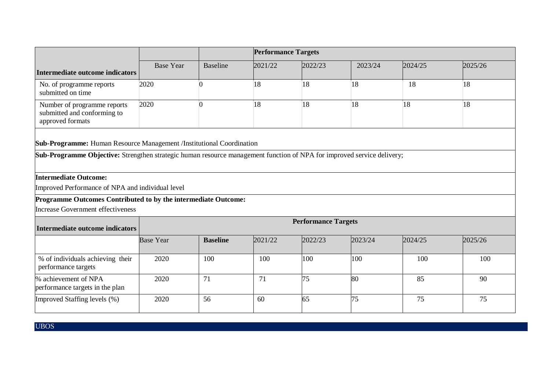|                                                                                                                               | <b>Performance Targets</b> |                 |         |                            |         |         |         |  |  |  |
|-------------------------------------------------------------------------------------------------------------------------------|----------------------------|-----------------|---------|----------------------------|---------|---------|---------|--|--|--|
| Intermediate outcome indicators                                                                                               | <b>Base Year</b>           | <b>Baseline</b> | 2021/22 | 2022/23                    | 2023/24 | 2024/25 | 2025/26 |  |  |  |
| No. of programme reports<br>submitted on time                                                                                 | 2020                       |                 | 18      | 18                         | 18      | 18      | 18      |  |  |  |
| Number of programme reports<br>submitted and conforming to<br>approved formats                                                | 2020                       | 0               | 18      | 18                         | 18      | 18      | 18      |  |  |  |
| Sub-Programme: Human Resource Management /Institutional Coordination                                                          |                            |                 |         |                            |         |         |         |  |  |  |
| <b>Sub-Programme Objective:</b> Strengthen strategic human resource management function of NPA for improved service delivery; |                            |                 |         |                            |         |         |         |  |  |  |
| <b>Intermediate Outcome:</b>                                                                                                  |                            |                 |         |                            |         |         |         |  |  |  |
| Improved Performance of NPA and individual level                                                                              |                            |                 |         |                            |         |         |         |  |  |  |
| Programme Outcomes Contributed to by the intermediate Outcome:                                                                |                            |                 |         |                            |         |         |         |  |  |  |
| Increase Government effectiveness                                                                                             |                            |                 |         |                            |         |         |         |  |  |  |
| <b>Intermediate outcome indicators</b>                                                                                        |                            |                 |         | <b>Performance Targets</b> |         |         |         |  |  |  |
|                                                                                                                               | <b>Base Year</b>           | <b>Baseline</b> | 2021/22 | 2022/23                    | 2023/24 | 2024/25 | 2025/26 |  |  |  |
| % of individuals achieving their<br>performance targets                                                                       | 2020                       | 100             | 100     | 100                        | 100     | 100     | 100     |  |  |  |
| % achievement of NPA<br>performance targets in the plan                                                                       | 2020                       | 71              | 71      | 75                         | 80      | 85      | 90      |  |  |  |
| Improved Staffing levels (%)                                                                                                  | 2020                       | 56              | 60      | 65                         | 75      | 75      | 75      |  |  |  |

UBOS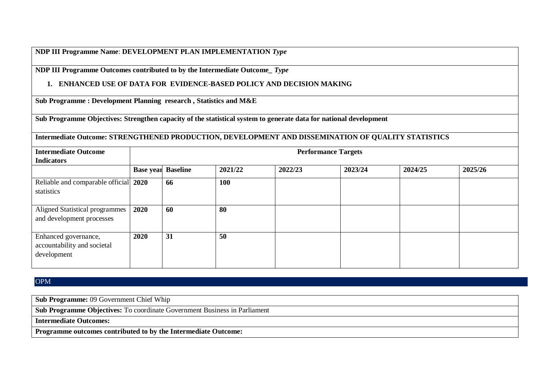#### **NDP III Programme Name**: **DEVELOPMENT PLAN IMPLEMENTATION** *Type*

**NDP III Programme Outcomes contributed to by the Intermediate Outcome\_** *Type*

## **1. ENHANCED USE OF DATA FOR EVIDENCE-BASED POLICY AND DECISION MAKING**

**Sub Programme : Development Planning research , Statistics and M&E**

**Sub Programme Objectives: Strengthen capacity of the statistical system to generate data for national development**

## **Intermediate Outcome: STRENGTHENED PRODUCTION, DEVELOPMENT AND DISSEMINATION OF QUALITY STATISTICS**

| <b>Intermediate Outcome</b>                                        |                           | <b>Performance Targets</b> |         |         |         |         |         |  |  |  |  |
|--------------------------------------------------------------------|---------------------------|----------------------------|---------|---------|---------|---------|---------|--|--|--|--|
| <b>Indicators</b>                                                  |                           |                            |         |         |         |         |         |  |  |  |  |
|                                                                    | <b>Base year Baseline</b> |                            | 2021/22 | 2022/23 | 2023/24 | 2024/25 | 2025/26 |  |  |  |  |
| Reliable and comparable official 2020<br>statistics                |                           | 66                         | 100     |         |         |         |         |  |  |  |  |
| Aligned Statistical programmes<br>and development processes        | 2020                      | 60                         | 80      |         |         |         |         |  |  |  |  |
| Enhanced governance,<br>accountability and societal<br>development | 2020                      | 31                         | 50      |         |         |         |         |  |  |  |  |

OPM

**Sub Programme:** 09 Government Chief Whip

**Sub Programme Objectives:** To coordinate Government Business in Parliament

**Intermediate Outcomes:** 

**Programme outcomes contributed to by the Intermediate Outcome:**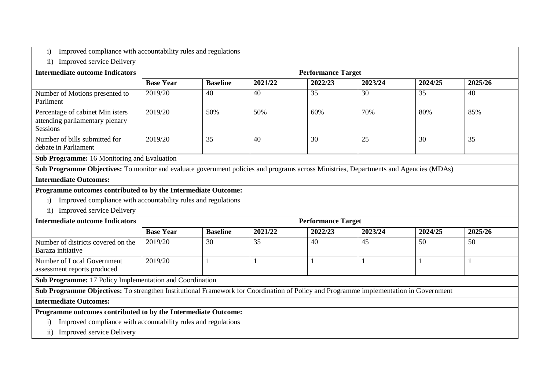|  |  |  | i) Improved compliance with accountability rules and regulations |  |  |
|--|--|--|------------------------------------------------------------------|--|--|
|--|--|--|------------------------------------------------------------------|--|--|

## ii) Improved service Delivery

| <b>Intermediate outcome Indicators</b>                                                                                                             |                  | <b>Performance Target</b> |         |         |         |         |         |  |  |  |  |  |
|----------------------------------------------------------------------------------------------------------------------------------------------------|------------------|---------------------------|---------|---------|---------|---------|---------|--|--|--|--|--|
|                                                                                                                                                    | <b>Base Year</b> | <b>Baseline</b>           | 2021/22 | 2022/23 | 2023/24 | 2024/25 | 2025/26 |  |  |  |  |  |
| Number of Motions presented to<br>Parliment                                                                                                        | 2019/20          | 40                        | 40      | 35      | 30      | 35      | 40      |  |  |  |  |  |
| Percentage of cabinet Min isters<br>attending parliamentary plenary<br><b>Sessions</b>                                                             | 2019/20          | 50%                       | 50%     | 60%     | 70%     | 80%     | 85%     |  |  |  |  |  |
| Number of bills submitted for<br>debate in Parliament                                                                                              | 2019/20          | 35                        | 40      | 30      | 25      | 30      | 35      |  |  |  |  |  |
| <b>Sub Programme:</b> 16 Monitoring and Evaluation                                                                                                 |                  |                           |         |         |         |         |         |  |  |  |  |  |
| <b>Cult Deconomise Okiootives:</b> To mention and surfacts corresponds of the case of necessary course Ministeria. Departments and Agencies (MDAs) |                  |                           |         |         |         |         |         |  |  |  |  |  |

**Sub Programme Objectives:** To monitor and evaluate government policies and programs across Ministries, Departments and Agencies (MDAs)

#### **Intermediate Outcomes:**

#### **Programme outcomes contributed to by the Intermediate Outcome:**

- i) Improved compliance with accountability rules and regulations
- ii) Improved service Delivery

| <b>Intermediate outcome Indicators</b>                                                                                                                                                                                                                                                           |                                                                                                                                       | <b>Performance Target</b> |         |         |         |         |         |  |  |  |  |
|--------------------------------------------------------------------------------------------------------------------------------------------------------------------------------------------------------------------------------------------------------------------------------------------------|---------------------------------------------------------------------------------------------------------------------------------------|---------------------------|---------|---------|---------|---------|---------|--|--|--|--|
|                                                                                                                                                                                                                                                                                                  | <b>Base Year</b>                                                                                                                      | <b>Baseline</b>           | 2021/22 | 2022/23 | 2023/24 | 2024/25 | 2025/26 |  |  |  |  |
| Number of districts covered on the<br>Baraza initiative                                                                                                                                                                                                                                          | 2019/20                                                                                                                               | 30                        | 35      | 40      | 45      | 50      | 50      |  |  |  |  |
| Number of Local Government<br>assessment reports produced                                                                                                                                                                                                                                        | 2019/20                                                                                                                               |                           |         |         |         |         |         |  |  |  |  |
| Sub Programme: 17 Policy Implementation and Coordination                                                                                                                                                                                                                                         |                                                                                                                                       |                           |         |         |         |         |         |  |  |  |  |
|                                                                                                                                                                                                                                                                                                  | Sub Programme Objectives: To strengthen Institutional Framework for Coordination of Policy and Programme implementation in Government |                           |         |         |         |         |         |  |  |  |  |
| <b>Intermediate Outcomes:</b>                                                                                                                                                                                                                                                                    |                                                                                                                                       |                           |         |         |         |         |         |  |  |  |  |
| $\mathbf{D}$ and $\mathbf{D}$ and $\mathbf{D}$ and $\mathbf{D}$ and $\mathbf{D}$ and $\mathbf{D}$ and $\mathbf{D}$ and $\mathbf{D}$ and $\mathbf{D}$ and $\mathbf{D}$ and $\mathbf{D}$ and $\mathbf{D}$ and $\mathbf{D}$ and $\mathbf{D}$ and $\mathbf{D}$ and $\mathbf{D}$ and $\mathbf{D}$ and |                                                                                                                                       |                           |         |         |         |         |         |  |  |  |  |

#### **Programme outcomes contributed to by the Intermediate Outcome:**

- i) Improved compliance with accountability rules and regulations
- ii) Improved service Delivery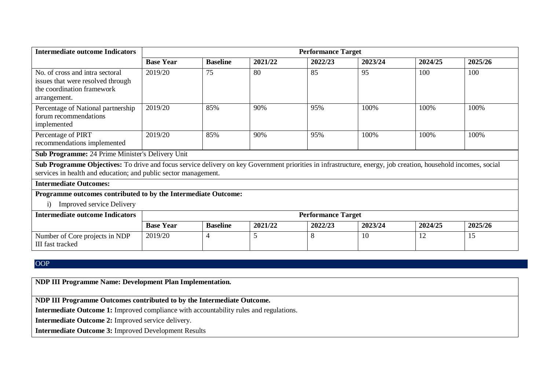| <b>Intermediate outcome Indicators</b>                                                                                                                                                                                           |                  | <b>Performance Target</b> |         |                           |         |         |         |  |  |  |  |  |
|----------------------------------------------------------------------------------------------------------------------------------------------------------------------------------------------------------------------------------|------------------|---------------------------|---------|---------------------------|---------|---------|---------|--|--|--|--|--|
|                                                                                                                                                                                                                                  | <b>Base Year</b> | <b>Baseline</b>           | 2021/22 | 2022/23                   | 2023/24 | 2024/25 | 2025/26 |  |  |  |  |  |
| No. of cross and intra sectoral<br>issues that were resolved through<br>the coordination framework<br>arrangement.                                                                                                               | 2019/20          | 75                        | 80      | 85                        | 95      | 100     | 100     |  |  |  |  |  |
| Percentage of National partnership<br>forum recommendations<br>implemented                                                                                                                                                       | 2019/20          | 85%                       | 90%     | 95%                       | 100%    | 100%    | 100%    |  |  |  |  |  |
| Percentage of PIRT<br>recommendations implemented                                                                                                                                                                                | 2019/20          | 85%                       | 90%     | 95%                       | 100%    | 100%    | 100%    |  |  |  |  |  |
| <b>Sub Programme:</b> 24 Prime Minister's Delivery Unit                                                                                                                                                                          |                  |                           |         |                           |         |         |         |  |  |  |  |  |
| Sub Programme Objectives: To drive and focus service delivery on key Government priorities in infrastructure, energy, job creation, household incomes, social<br>services in health and education; and public sector management. |                  |                           |         |                           |         |         |         |  |  |  |  |  |
| <b>Intermediate Outcomes:</b>                                                                                                                                                                                                    |                  |                           |         |                           |         |         |         |  |  |  |  |  |
| Programme outcomes contributed to by the Intermediate Outcome:                                                                                                                                                                   |                  |                           |         |                           |         |         |         |  |  |  |  |  |
| <b>Improved service Delivery</b><br>$\bf{1)}$                                                                                                                                                                                    |                  |                           |         |                           |         |         |         |  |  |  |  |  |
| <b>Intermediate outcome Indicators</b>                                                                                                                                                                                           |                  |                           |         | <b>Performance Target</b> |         |         |         |  |  |  |  |  |
|                                                                                                                                                                                                                                  | <b>Base Year</b> | <b>Baseline</b>           | 2021/22 | 2022/23                   | 2023/24 | 2024/25 | 2025/26 |  |  |  |  |  |
| Number of Core projects in NDP<br>III fast tracked                                                                                                                                                                               | 2019/20          | 4                         | 5       | 8                         | 10      | 12      | 15      |  |  |  |  |  |

## OOP

**NDP III Programme Name: Development Plan Implementation.**

**NDP III Programme Outcomes contributed to by the Intermediate Outcome.**

**Intermediate Outcome 1:** Improved compliance with accountability rules and regulations.

**Intermediate Outcome 2:** Improved service delivery.

**Intermediate Outcome 3:** Improved Development Results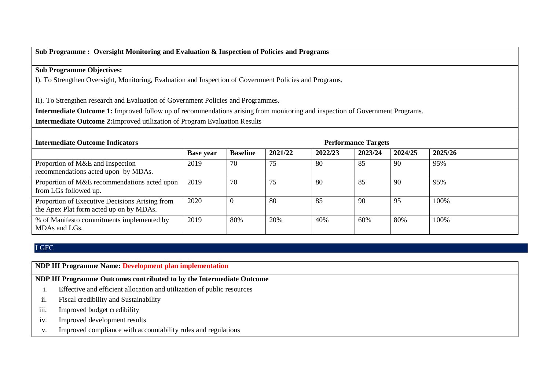## **Sub Programme : Oversight Monitoring and Evaluation & Inspection of Policies and Programs**

## **Sub Programme Objectives:**

I). To Strengthen Oversight, Monitoring, Evaluation and Inspection of Government Policies and Programs.

II). To Strengthen research and Evaluation of Government Policies and Programmes.

**Intermediate Outcome 1:** Improved follow up of recommendations arising from monitoring and inspection of Government Programs.

**Intermediate Outcome 2:**Improved utilization of Program Evaluation Results

| <b>Intermediate Outcome Indicators</b>                                                    |                  | <b>Performance Targets</b> |         |         |         |         |         |  |  |
|-------------------------------------------------------------------------------------------|------------------|----------------------------|---------|---------|---------|---------|---------|--|--|
|                                                                                           | <b>Base year</b> | <b>Baseline</b>            | 2021/22 | 2022/23 | 2023/24 | 2024/25 | 2025/26 |  |  |
| Proportion of M&E and Inspection<br>recommendations acted upon by MDAs.                   | 2019             | 70                         | 75      | 80      | 85      | 90      | 95%     |  |  |
| Proportion of M&E recommendations acted upon<br>from LGs followed up.                     | 2019             | 70                         | 75      | 80      | 85      | 90      | 95%     |  |  |
| Proportion of Executive Decisions Arising from<br>the Apex Plat form acted up on by MDAs. | 2020             | $\left($                   | 80      | 85      | 90      | 95      | 100%    |  |  |
| % of Manifesto commitments implemented by<br>MDAs and LGs.                                | 2019             | 80%                        | 20%     | 40%     | 60%     | 80%     | 100%    |  |  |

#### LGFC

**NDP III Programme Name: Development plan implementation** 

**NDP III Programme Outcomes contributed to by the Intermediate Outcome**

- i. Effective and efficient allocation and utilization of public resources
- ii. Fiscal credibility and Sustainability
- iii. Improved budget credibility
- iv. Improved development results
- v. Improved compliance with accountability rules and regulations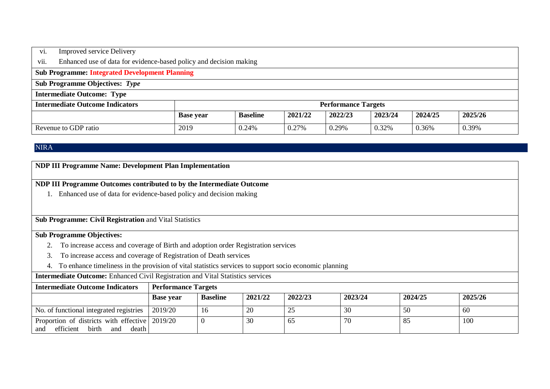| vi.                                                                                        | <b>Improved service Delivery</b>                                   |      |       |       |                            |       |       |       |  |  |
|--------------------------------------------------------------------------------------------|--------------------------------------------------------------------|------|-------|-------|----------------------------|-------|-------|-------|--|--|
| vii.                                                                                       | Enhanced use of data for evidence-based policy and decision making |      |       |       |                            |       |       |       |  |  |
|                                                                                            | <b>Sub Programme: Integrated Development Planning</b>              |      |       |       |                            |       |       |       |  |  |
|                                                                                            | <b>Sub Programme Objectives: Type</b>                              |      |       |       |                            |       |       |       |  |  |
|                                                                                            | <b>Intermediate Outcome: Type</b>                                  |      |       |       |                            |       |       |       |  |  |
|                                                                                            | <b>Intermediate Outcome Indicators</b>                             |      |       |       | <b>Performance Targets</b> |       |       |       |  |  |
| 2021/22<br>2022/23<br>2023/24<br>2024/25<br>2025/26<br><b>Baseline</b><br><b>Base year</b> |                                                                    |      |       |       |                            |       |       |       |  |  |
|                                                                                            | Revenue to GDP ratio                                               | 2019 | 0.24% | 0.27% | 0.29%                      | 0.32% | 0.36% | 0.39% |  |  |

## NIRA

| <b>NDP III Programme Name: Development Plan Implementation</b>                                               |                                                                    |                 |         |         |         |         |         |  |  |  |
|--------------------------------------------------------------------------------------------------------------|--------------------------------------------------------------------|-----------------|---------|---------|---------|---------|---------|--|--|--|
| NDP III Programme Outcomes contributed to by the Intermediate Outcome                                        |                                                                    |                 |         |         |         |         |         |  |  |  |
|                                                                                                              | Enhanced use of data for evidence-based policy and decision making |                 |         |         |         |         |         |  |  |  |
|                                                                                                              |                                                                    |                 |         |         |         |         |         |  |  |  |
|                                                                                                              | <b>Sub Programme: Civil Registration and Vital Statistics</b>      |                 |         |         |         |         |         |  |  |  |
| <b>Sub Programme Objectives:</b>                                                                             |                                                                    |                 |         |         |         |         |         |  |  |  |
| To increase access and coverage of Birth and adoption order Registration services                            |                                                                    |                 |         |         |         |         |         |  |  |  |
| To increase access and coverage of Registration of Death services<br>3.                                      |                                                                    |                 |         |         |         |         |         |  |  |  |
| To enhance timeliness in the provision of vital statistics services to support socio economic planning<br>4. |                                                                    |                 |         |         |         |         |         |  |  |  |
| <b>Intermediate Outcome:</b> Enhanced Civil Registration and Vital Statistics services                       |                                                                    |                 |         |         |         |         |         |  |  |  |
| <b>Performance Targets</b><br><b>Intermediate Outcome Indicators</b>                                         |                                                                    |                 |         |         |         |         |         |  |  |  |
|                                                                                                              | <b>Base year</b>                                                   | <b>Baseline</b> | 2021/22 | 2022/23 | 2023/24 | 2024/25 | 2025/26 |  |  |  |
| No. of functional integrated registries                                                                      | 2019/20                                                            | 16              | 20      | 25      | 30      | 50      | 60      |  |  |  |
| Proportion of districts with effective 2019/20<br>efficient<br>birth<br>death<br>and<br>and                  |                                                                    | $\Omega$        | 30      | 65      | 70      | 85      | 100     |  |  |  |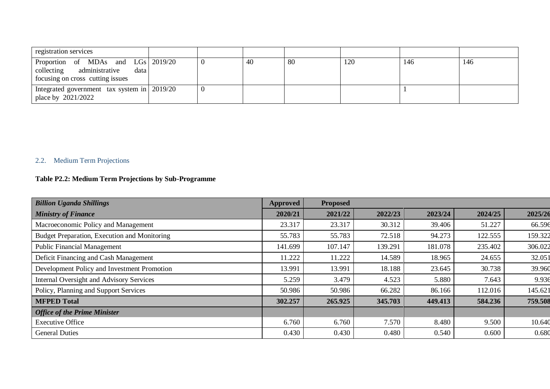| registration services                                                                                          |   |    |    |     |     |     |
|----------------------------------------------------------------------------------------------------------------|---|----|----|-----|-----|-----|
| Proportion of MDAs and LGs 2019/20<br>administrative<br>collecting<br>data<br>focusing on cross cutting issues | U | 40 | 80 | 120 | 146 | 146 |
| Integrated government tax system in 2019/20<br>place by 2021/2022                                              | v |    |    |     |     |     |

## 2.2. Medium Term Projections

## **Table P2.2: Medium Term Projections by Sub-Programme**

| <b>Billion Uganda Shillings</b>                 | <b>Approved</b> | <b>Proposed</b> |         |         |         |         |
|-------------------------------------------------|-----------------|-----------------|---------|---------|---------|---------|
| <b>Ministry of Finance</b>                      | 2020/21         | 2021/22         | 2022/23 | 2023/24 | 2024/25 | 2025/26 |
| Macroeconomic Policy and Management             | 23.317          | 23.317          | 30.312  | 39.406  | 51.227  | 66.596  |
| Budget Preparation, Execution and Monitoring    | 55.783          | 55.783          | 72.518  | 94.273  | 122.555 | 159.322 |
| <b>Public Financial Management</b>              | 141.699         | 107.147         | 139.291 | 181.078 | 235.402 | 306.022 |
| Deficit Financing and Cash Management           | 11.222          | 11.222          | 14.589  | 18.965  | 24.655  | 32.051  |
| Development Policy and Investment Promotion     | 13.991          | 13.991          | 18.188  | 23.645  | 30.738  | 39.960  |
| <b>Internal Oversight and Advisory Services</b> | 5.259           | 3.479           | 4.523   | 5.880   | 7.643   | 9.936   |
| Policy, Planning and Support Services           | 50.986          | 50.986          | 66.282  | 86.166  | 112.016 | 145.621 |
| <b>MFPED Total</b>                              | 302.257         | 265.925         | 345.703 | 449.413 | 584.236 | 759.508 |
| <b>Office of the Prime Minister</b>             |                 |                 |         |         |         |         |
| <b>Executive Office</b>                         | 6.760           | 6.760           | 7.570   | 8.480   | 9.500   | 10.640  |
| <b>General Duties</b>                           | 0.430           | 0.430           | 0.480   | 0.540   | 0.600   | 0.680   |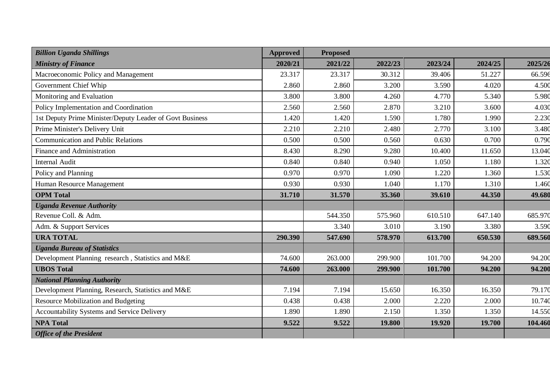| <b>Billion Uganda Shillings</b>                          | <b>Approved</b> | <b>Proposed</b> |         |         |         |         |
|----------------------------------------------------------|-----------------|-----------------|---------|---------|---------|---------|
| <b>Ministry of Finance</b>                               | 2020/21         | 2021/22         | 2022/23 | 2023/24 | 2024/25 | 2025/26 |
| Macroeconomic Policy and Management                      | 23.317          | 23.317          | 30.312  | 39.406  | 51.227  | 66.596  |
| Government Chief Whip                                    | 2.860           | 2.860           | 3.200   | 3.590   | 4.020   | 4.500   |
| Monitoring and Evaluation                                | 3.800           | 3.800           | 4.260   | 4.770   | 5.340   | 5.980   |
| Policy Implementation and Coordination                   | 2.560           | 2.560           | 2.870   | 3.210   | 3.600   | 4.030   |
| 1st Deputy Prime Minister/Deputy Leader of Govt Business | 1.420           | 1.420           | 1.590   | 1.780   | 1.990   | 2.230   |
| Prime Minister's Delivery Unit                           | 2.210           | 2.210           | 2.480   | 2.770   | 3.100   | 3.480   |
| <b>Communication and Public Relations</b>                | 0.500           | 0.500           | 0.560   | 0.630   | 0.700   | 0.790   |
| <b>Finance and Administration</b>                        | 8.430           | 8.290           | 9.280   | 10.400  | 11.650  | 13.040  |
| <b>Internal Audit</b>                                    | 0.840           | 0.840           | 0.940   | 1.050   | 1.180   | 1.320   |
| Policy and Planning                                      | 0.970           | 0.970           | 1.090   | 1.220   | 1.360   | 1.530   |
| Human Resource Management                                | 0.930           | 0.930           | 1.040   | 1.170   | 1.310   | 1.460   |
| <b>OPM</b> Total                                         | 31.710          | 31.570          | 35.360  | 39.610  | 44.350  | 49.680  |
| <b>Uganda Revenue Authority</b>                          |                 |                 |         |         |         |         |
| Revenue Coll. & Adm.                                     |                 | 544.350         | 575.960 | 610.510 | 647.140 | 685.970 |
| Adm. & Support Services                                  |                 | 3.340           | 3.010   | 3.190   | 3.380   | 3.590   |
| <b>URA TOTAL</b>                                         | 290.390         | 547.690         | 578.970 | 613.700 | 650.530 | 689.560 |
| <b>Uganda Bureau of Statistics</b>                       |                 |                 |         |         |         |         |
| Development Planning research, Statistics and M&E        | 74.600          | 263.000         | 299.900 | 101.700 | 94.200  | 94.200  |
| <b>UBOS Total</b>                                        | 74.600          | 263.000         | 299.900 | 101.700 | 94.200  | 94.200  |
| <b>National Planning Authority</b>                       |                 |                 |         |         |         |         |
| Development Planning, Research, Statistics and M&E       | 7.194           | 7.194           | 15.650  | 16.350  | 16.350  | 79.170  |
| <b>Resource Mobilization and Budgeting</b>               | 0.438           | 0.438           | 2.000   | 2.220   | 2.000   | 10.740  |
| Accountability Systems and Service Delivery              | 1.890           | 1.890           | 2.150   | 1.350   | 1.350   | 14.550  |
| <b>NPA Total</b>                                         | 9.522           | 9.522           | 19.800  | 19.920  | 19.700  | 104.460 |
| <b>Office of the President</b>                           |                 |                 |         |         |         |         |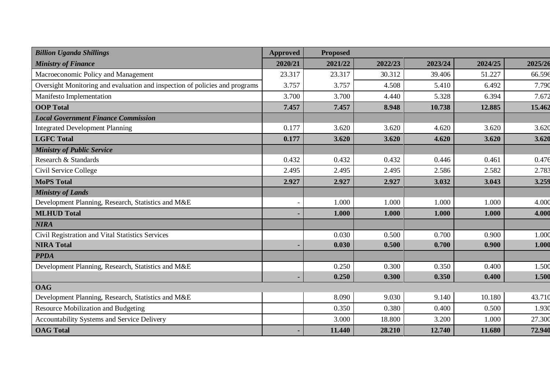| <b>Billion Uganda Shillings</b>                                             | <b>Approved</b>          | <b>Proposed</b> |         |         |         |         |
|-----------------------------------------------------------------------------|--------------------------|-----------------|---------|---------|---------|---------|
| <b>Ministry of Finance</b>                                                  | 2020/21                  | 2021/22         | 2022/23 | 2023/24 | 2024/25 | 2025/26 |
| Macroeconomic Policy and Management                                         | 23.317                   | 23.317          | 30.312  | 39.406  | 51.227  | 66.596  |
| Oversight Monitoring and evaluation and inspection of policies and programs | 3.757                    | 3.757           | 4.508   | 5.410   | 6.492   | 7.790   |
| Manifesto Implementation                                                    | 3.700                    | 3.700           | 4.440   | 5.328   | 6.394   | 7.672   |
| <b>OOP</b> Total                                                            | 7.457                    | 7.457           | 8.948   | 10.738  | 12.885  | 15.462  |
| <b>Local Government Finance Commission</b>                                  |                          |                 |         |         |         |         |
| <b>Integrated Development Planning</b>                                      | 0.177                    | 3.620           | 3.620   | 4.620   | 3.620   | 3.620   |
| <b>LGFC Total</b>                                                           | 0.177                    | 3.620           | 3.620   | 4.620   | 3.620   | 3.620   |
| <b>Ministry of Public Service</b>                                           |                          |                 |         |         |         |         |
| Research & Standards                                                        | 0.432                    | 0.432           | 0.432   | 0.446   | 0.461   | 0.476   |
| Civil Service College                                                       | 2.495                    | 2.495           | 2.495   | 2.586   | 2.582   | 2.783   |
| <b>MoPS Total</b>                                                           | 2.927                    | 2.927           | 2.927   | 3.032   | 3.043   | 3.259   |
| <b>Ministry of Lands</b>                                                    |                          |                 |         |         |         |         |
| Development Planning, Research, Statistics and M&E                          | $\overline{\phantom{a}}$ | 1.000           | 1.000   | 1.000   | 1.000   | 4.000   |
| <b>MLHUD Total</b>                                                          |                          | 1.000           | 1.000   | 1.000   | 1.000   | 4.000   |
| <b>NIRA</b>                                                                 |                          |                 |         |         |         |         |
| Civil Registration and Vital Statistics Services                            |                          | 0.030           | 0.500   | 0.700   | 0.900   | 1.000   |
| <b>NIRA Total</b>                                                           |                          | 0.030           | 0.500   | 0.700   | 0.900   | 1.000   |
| <b>PPDA</b>                                                                 |                          |                 |         |         |         |         |
| Development Planning, Research, Statistics and M&E                          |                          | 0.250           | 0.300   | 0.350   | 0.400   | 1.500   |
|                                                                             |                          | 0.250           | 0.300   | 0.350   | 0.400   | 1.500   |
| <b>OAG</b>                                                                  |                          |                 |         |         |         |         |
| Development Planning, Research, Statistics and M&E                          |                          | 8.090           | 9.030   | 9.140   | 10.180  | 43.710  |
| Resource Mobilization and Budgeting                                         |                          | 0.350           | 0.380   | 0.400   | 0.500   | 1.930   |
| Accountability Systems and Service Delivery                                 |                          | 3.000           | 18.800  | 3.200   | 1.000   | 27.300  |
| <b>OAG Total</b>                                                            |                          | 11.440          | 28.210  | 12.740  | 11.680  | 72.940  |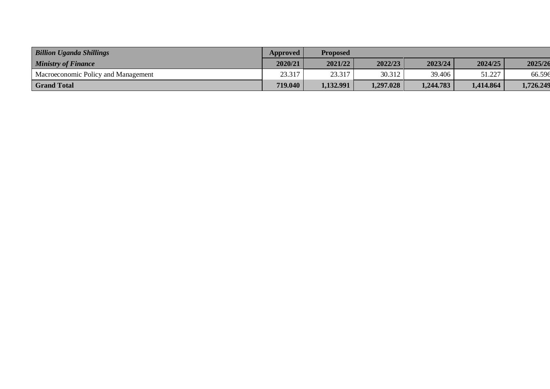| <b>Billion Uganda Shillings</b>     | Approved | Proposed  |           |           |           |           |
|-------------------------------------|----------|-----------|-----------|-----------|-----------|-----------|
| <b>Ministry of Finance</b>          | 2020/21  | 2021/22   | 2022/23   | 2023/24   | 2024/25   | 2025/26   |
| Macroeconomic Policy and Management | 23.317   | 23.317    | 30.312    | 39.406    | 51.227    | 66.596    |
| <b>Grand Total</b>                  | 719.040  | 1,132.991 | 1,297.028 | 1,244.783 | 1,414.864 | 1,726.249 |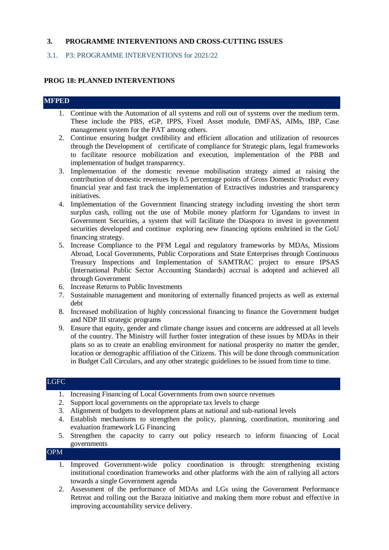#### **3. PROGRAMME INTERVENTIONS AND CROSS-CUTTING ISSUES**

#### 3.1. P3: PROGRAMME INTERVENTIONS for 2021/22

#### **PROG 18: PLANNED INTERVENTIONS**

#### **MFPED**

- 1. Continue with the Automation of all systems and roll out of systems over the medium term. These include the PBS, eGP, IPPS, Fixed Asset module, DMFAS, AIMs, IBP, Case management system for the PAT among others.
- 2. Continue ensuring budget credibility and efficient allocation and utilization of resources through the Development of certificate of compliance for Strategic plans, legal frameworks to facilitate resource mobilization and execution, implementation of the PBB and implementation of budget transparency.
- 3. Implementation of the domestic revenue mobilisation strategy aimed at raising the contribution of domestic revenues by 0.5 percentage points of Gross Domestic Product every financial year and fast track the implementation of Extractives industries and transparency initiatives.
- 4. Implementation of the Government financing strategy including investing the short term surplus cash, rolling out the use of Mobile money platform for Ugandans to invest in Government Securities, a system that will facilitate the Diaspora to invest in government securities developed and continue exploring new financing options enshrined in the GoU financing strategy.
- 5. Increase Compliance to the PFM Legal and regulatory frameworks by MDAs, Missions Abroad, Local Governments, Public Corporations and State Enterprises through Continuous Treasury Inspections and Implementation of SAMTRAC project to ensure IPSAS (International Public Sector Accounting Standards) accrual is adopted and achieved all through Government
- 6. Increase Returns to Public Investments
- 7. Sustainable management and monitoring of externally financed projects as well as external debt
- 8. Increased mobilization of highly concessional financing to finance the Government budget and NDP III strategic programs
- 9. Ensure that equity, gender and climate change issues and concerns are addressed at all levels of the country. The Ministry will further foster integration of these issues by MDAs in their plans so as to create an enabling environment for national prosperity no matter the gender, location or demographic affiliation of the Citizens. This will be done through communication in Budget Call Circulars, and any other strategic guidelines to be issued from time to time.

## LGFC

- 1. Increasing Financing of Local Governments from own source revenues
- 2. Support local governments on the appropriate tax levels to charge
- 3. Alignment of budgets to development plans at national and sub-national levels
- 4. Establish mechanisms to strengthen the policy, planning, coordination, monitoring and evaluation framework LG Financing
- 5. Strengthen the capacity to carry out policy research to inform financing of Local governments

OPM

- 1. Improved Government-wide policy coordination is through: strengthening existing institutional coordination frameworks and other platforms with the aim of rallying all actors towards a single Government agenda
- 2. Assessment of the performance of MDAs and LGs using the Government Performance Retreat and rolling out the Baraza initiative and making them more robust and effective in improving accountability service delivery.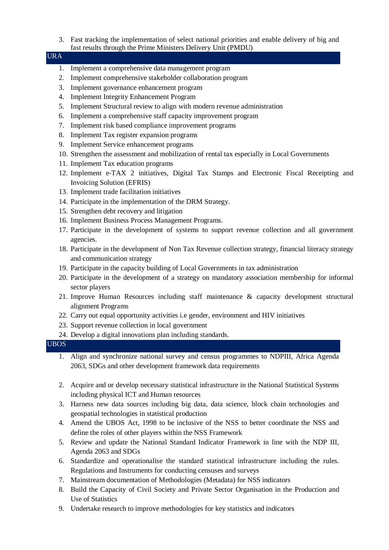3. Fast tracking the implementation of select national priorities and enable delivery of big and fast results through the Prime Ministers Delivery Unit (PMDU)

| <b>URA</b> |  |
|------------|--|
|            |  |

- 1. Implement a comprehensive data management program
- 2. Implement comprehensive stakeholder collaboration program
- 3. Implement governance enhancement program
- 4. Implement Integrity Enhancement Program
- 5. Implement Structural review to align with modern revenue administration
- 6. Implement a comprehensive staff capacity improvement program
- 7. Implement risk based compliance improvement programs
- 8. Implement Tax register expansion programs
- 9. Implement Service enhancement programs
- 10. Strengthen the assessment and mobilization of rental tax especially in Local Governments
- 11. Implement Tax education programs
- 12. Implement e-TAX 2 initiatives, Digital Tax Stamps and Electronic Fiscal Receipting and Invoicing Solution (EFRIS)
- 13. Implement trade facilitation initiatives
- 14. Participate in the implementation of the DRM Strategy.
- 15. Strengthen debt recovery and litigation
- 16. Implement Business Process Management Programs.
- 17. Participate in the development of systems to support revenue collection and all government agencies.
- 18. Participate in the development of Non Tax Revenue collection strategy, financial literacy strategy and communication strategy
- 19. Participate in the capacity building of Local Governments in tax administration
- 20. Participate in the development of a strategy on mandatory association membership for informal sector players
- 21. Improve Human Resources including staff maintenance & capacity development structural alignment Programs
- 22. Carry out equal opportunity activities i.e gender, environment and HIV initiatives
- 23. Support revenue collection in local government
- 24. Develop a digital innovations plan including standards.

|  | UBOS |  |
|--|------|--|
|  |      |  |

- 1. Align and synchronize national survey and census programmes to NDPIII, Africa Agenda 2063, SDGs and other development framework data requirements
- 2. Acquire and or develop necessary statistical infrastructure in the National Statistical Systems including physical ICT and Human resources
- 3. Harness new data sources including big data, data science, block chain technologies and geospatial technologies in statistical production
- 4. Amend the UBOS Act, 1998 to be inclusive of the NSS to better coordinate the NSS and define the roles of other players within the NSS Framework
- 5. Review and update the National Standard Indicator Framework in line with the NDP III, Agenda 2063 and SDGs
- 6. Standardize and operationalise the standard statistical infrastructure including the rules. Regulations and Instruments for conducting censuses and surveys
- 7. Mainstream documentation of Methodologies (Metadata) for NSS indicators
- 8. Build the Capacity of Civil Society and Private Sector Organisation in the Production and Use of Statistics
- 9. Undertake research to improve methodologies for key statistics and indicators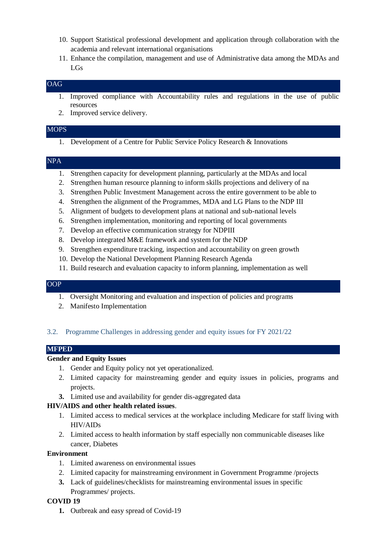- 10. Support Statistical professional development and application through collaboration with the academia and relevant international organisations
- 11. Enhance the compilation, management and use of Administrative data among the MDAs and LGs

## OAG

- 1. Improved compliance with Accountability rules and regulations in the use of public resources
- 2. Improved service delivery.

#### **MOPS**

1. Development of a Centre for Public Service Policy Research & Innovations

#### NPA

- 1. Strengthen capacity for development planning, particularly at the MDAs and local
- 2. Strengthen human resource planning to inform skills projections and delivery of na
- 3. Strengthen Public Investment Management across the entire government to be able to
- 4. Strengthen the alignment of the Programmes, MDA and LG Plans to the NDP III
- 5. Alignment of budgets to development plans at national and sub-national levels
- 6. Strengthen implementation, monitoring and reporting of local governments
- 7. Develop an effective communication strategy for NDPIII
- 8. Develop integrated M&E framework and system for the NDP
- 9. Strengthen expenditure tracking, inspection and accountability on green growth
- 10. Develop the National Development Planning Research Agenda
- 11. Build research and evaluation capacity to inform planning, implementation as well

## OOP

- 1. Oversight Monitoring and evaluation and inspection of policies and programs
- 2. Manifesto Implementation

#### 3.2. Programme Challenges in addressing gender and equity issues for FY 2021/22

#### **MFPED**

#### **Gender and Equity Issues**

- 1. Gender and Equity policy not yet operationalized.
- 2. Limited capacity for mainstreaming gender and equity issues in policies, programs and projects.
- **3.** Limited use and availability for gender dis-aggregated data

#### **HIV/AIDS and other health related issues**.

- 1. Limited access to medical services at the workplace including Medicare for staff living with HIV/AIDs
- 2. Limited access to health information by staff especially non communicable diseases like cancer, Diabetes

#### **Environment**

- 1. Limited awareness on environmental issues
- 2. Limited capacity for mainstreaming environment in Government Programme /projects
- **3.** Lack of guidelines/checklists for mainstreaming environmental issues in specific Programmes/ projects.

#### **COVID 19**

**1.** Outbreak and easy spread of Covid-19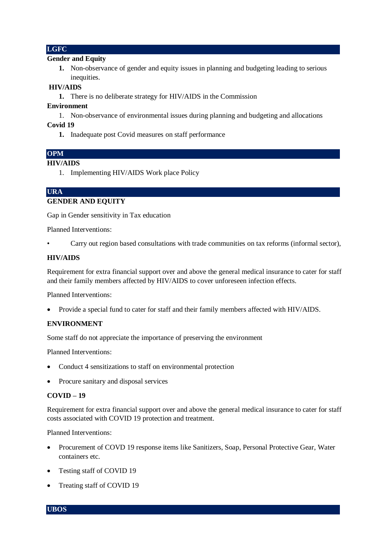#### **LGFC**

#### **Gender and Equity**

**1.** Non-observance of gender and equity issues in planning and budgeting leading to serious inequities.

#### **HIV/AIDS**

**1.** There is no deliberate strategy for HIV/AIDS in the Commission

#### **Environment**

1. Non-observance of environmental issues during planning and budgeting and allocations

#### **Covid 19**

**1.** Inadequate post Covid measures on staff performance

#### **OPM**

#### **HIV/AIDS**

1. Implementing HIV/AIDS Work place Policy

#### **URA**

#### **GENDER AND EQUITY**

Gap in Gender sensitivity in Tax education

Planned Interventions:

• Carry out region based consultations with trade communities on tax reforms (informal sector),

#### **HIV/AIDS**

Requirement for extra financial support over and above the general medical insurance to cater for staff and their family members affected by HIV/AIDS to cover unforeseen infection effects.

Planned Interventions:

Provide a special fund to cater for staff and their family members affected with HIV/AIDS.

#### **ENVIRONMENT**

Some staff do not appreciate the importance of preserving the environment

Planned Interventions:

- Conduct 4 sensitizations to staff on environmental protection
- Procure sanitary and disposal services

#### **COVID – 19**

Requirement for extra financial support over and above the general medical insurance to cater for staff costs associated with COVID 19 protection and treatment.

Planned Interventions:

- Procurement of COVD 19 response items like Sanitizers, Soap, Personal Protective Gear, Water containers etc.
- Testing staff of COVID 19
- Treating staff of COVID 19

**UBOS**